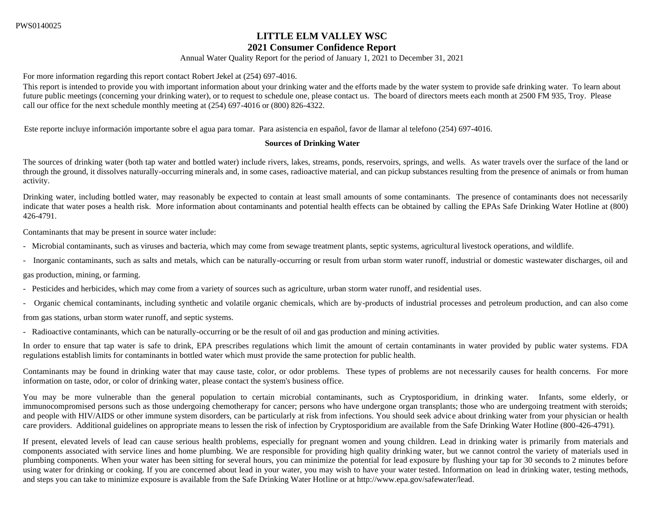# **LITTLE ELM VALLEY WSC**

# **2021 Consumer Confidence Report**

Annual Water Quality Report for the period of January 1, 2021 to December 31, 2021

For more information regarding this report contact Robert Jekel at (254) 697-4016.

This report is intended to provide you with important information about your drinking water and the efforts made by the water system to provide safe drinking water. To learn about future public meetings (concerning your drinking water), or to request to schedule one, please contact us. The board of directors meets each month at 2500 FM 935, Troy. Please call our office for the next schedule monthly meeting at (254) 697-4016 or (800) 826-4322.

Este reporte incluye información importante sobre el agua para tomar. Para asistencia en español, favor de llamar al telefono (254) 697-4016.

#### **Sources of Drinking Water**

The sources of drinking water (both tap water and bottled water) include rivers, lakes, streams, ponds, reservoirs, springs, and wells. As water travels over the surface of the land or through the ground, it dissolves naturally-occurring minerals and, in some cases, radioactive material, and can pickup substances resulting from the presence of animals or from human activity.

Drinking water, including bottled water, may reasonably be expected to contain at least small amounts of some contaminants. The presence of contaminants does not necessarily indicate that water poses a health risk. More information about contaminants and potential health effects can be obtained by calling the EPAs Safe Drinking Water Hotline at (800) 426-4791.

Contaminants that may be present in source water include:

- Microbial contaminants, such as viruses and bacteria, which may come from sewage treatment plants, septic systems, agricultural livestock operations, and wildlife.
- Inorganic contaminants, such as salts and metals, which can be naturally-occurring or result from urban storm water runoff, industrial or domestic wastewater discharges, oil and

gas production, mining, or farming.

- Pesticides and herbicides, which may come from a variety of sources such as agriculture, urban storm water runoff, and residential uses.
- Organic chemical contaminants, including synthetic and volatile organic chemicals, which are by-products of industrial processes and petroleum production, and can also come

from gas stations, urban storm water runoff, and septic systems.

- Radioactive contaminants, which can be naturally-occurring or be the result of oil and gas production and mining activities.

In order to ensure that tap water is safe to drink, EPA prescribes regulations which limit the amount of certain contaminants in water provided by public water systems. FDA regulations establish limits for contaminants in bottled water which must provide the same protection for public health.

Contaminants may be found in drinking water that may cause taste, color, or odor problems. These types of problems are not necessarily causes for health concerns. For more information on taste, odor, or color of drinking water, please contact the system's business office.

You may be more vulnerable than the general population to certain microbial contaminants, such as Cryptosporidium, in drinking water. Infants, some elderly, or immunocompromised persons such as those undergoing chemotherapy for cancer; persons who have undergone organ transplants; those who are undergoing treatment with steroids; and people with HIV/AIDS or other immune system disorders, can be particularly at risk from infections. You should seek advice about drinking water from your physician or health care providers. Additional guidelines on appropriate means to lessen the risk of infection by Cryptosporidium are available from the Safe Drinking Water Hotline (800-426-4791).

If present, elevated levels of lead can cause serious health problems, especially for pregnant women and young children. Lead in drinking water is primarily from materials and components associated with service lines and home plumbing. We are responsible for providing high quality drinking water, but we cannot control the variety of materials used in plumbing components. When your water has been sitting for several hours, you can minimize the potential for lead exposure by flushing your tap for 30 seconds to 2 minutes before using water for drinking or cooking. If you are concerned about lead in your water, you may wish to have your water tested. Information on lead in drinking water, testing methods, and steps you can take to minimize exposure is available from the Safe Drinking Water Hotline or at http://www.epa.gov/safewater/lead.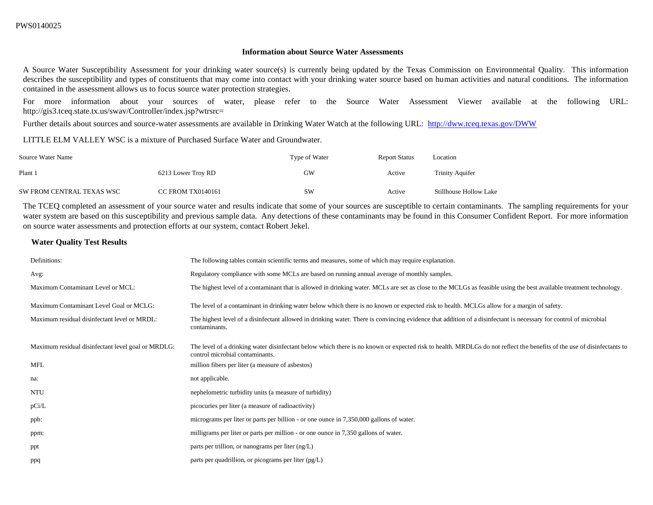#### **Information about Source Water Assessments**

A Source Water Susceptibility Assessment for your drinking water source(s) is currently being updated by the Texas Commission on Environmental Quality. This information describes the susceptibility and types of constituents that may come into contact with your drinking water source based on human activities and natural conditions. The information contained in the assessment allows us to focus source water protection strategies.

For more information about your sources of water, please refer to the Source Water Assessment Viewer available at the following URL: http://gis3.tceq.state.tx.us/swav/Controller/index.jsp?wtrsrc=

Further details about sources and source-water assessments are available in Drinking Water Watch at the following URL: <http://dww.tceq.texas.gov/DWW>

LITTLE ELM VALLEY WSC is a mixture of Purchased Surface Water and Groundwater.

| Source Water Name         |                          | Type of Water | <b>Report Status</b> | Location               |
|---------------------------|--------------------------|---------------|----------------------|------------------------|
| Plant 1                   | 6213 Lower Troy RD       | GW            | Active               | <b>Trinity Aquifer</b> |
| SW FROM CENTRAL TEXAS WSC | <b>CC FROM TX0140161</b> | <b>SW</b>     | Active               | Stillhouse Hollow Lake |

The TCEQ completed an assessment of your source water and results indicate that some of your sources are susceptible to certain contaminants. The sampling requirements for your water system are based on this susceptibility and previous sample data. Any detections of these contaminants may be found in this Consumer Confident Report. For more information on source water assessments and protection efforts at our system, contact Robert Jekel.

#### **Water Quality Test Results**

| Definitions:                                       | The following tables contain scientific terms and measures, some of which may require explanation.                                                                                                        |
|----------------------------------------------------|-----------------------------------------------------------------------------------------------------------------------------------------------------------------------------------------------------------|
| Avg:                                               | Regulatory compliance with some MCLs are based on running annual average of monthly samples.                                                                                                              |
| Maximum Contaminant Level or MCL:                  | The highest level of a contaminant that is allowed in drinking water. MCLs are set as close to the MCLGs as feasible using the best available treatment technology.                                       |
| Maximum Contaminant Level Goal or MCLG:            | The level of a contaminant in drinking water below which there is no known or expected risk to health. MCLGs allow for a margin of safety.                                                                |
| Maximum residual disinfectant level or MRDL:       | The highest level of a disinfectant allowed in drinking water. There is convincing evidence that addition of a disinfectant is necessary for control of microbial<br>contaminants.                        |
| Maximum residual disinfectant level goal or MRDLG: | The level of a drinking water disinfectant below which there is no known or expected risk to health. MRDLGs do not reflect the benefits of the use of disinfectants to<br>control microbial contaminants. |
| <b>MFL</b>                                         | million fibers per liter (a measure of asbestos)                                                                                                                                                          |
| na:                                                | not applicable.                                                                                                                                                                                           |
| <b>NTU</b>                                         | nephelometric turbidity units (a measure of turbidity)                                                                                                                                                    |
| pCi/L                                              | picocuries per liter (a measure of radioactivity)                                                                                                                                                         |
| ppb:                                               | micrograms per liter or parts per billion - or one ounce in 7,350,000 gallons of water.                                                                                                                   |
| ppm:                                               | milligrams per liter or parts per million - or one ounce in 7,350 gallons of water.                                                                                                                       |
| ppt                                                | parts per trillion, or nanograms per liter $(ng/L)$                                                                                                                                                       |
| ppq                                                | parts per quadrillion, or picograms per liter $(pg/L)$                                                                                                                                                    |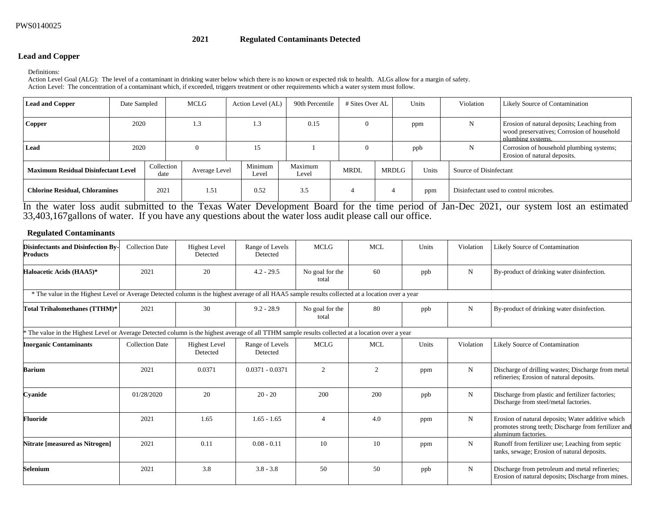#### **2021 Regulated Contaminants Detected**

#### **Lead and Copper**

Definitions:

Action Level Goal (ALG): The level of a contaminant in drinking water below which there is no known or expected risk to health. ALGs allow for a margin of safety. Action Level: The concentration of a contaminant which, if exceeded, triggers treatment or other requirements which a water system must follow.

| <b>Lead and Copper</b>                     | Date Sampled |                    | MCLG          | Action Level (AL) | 90th Percentile  | # Sites Over AL |       | Units | Violation              | Likely Source of Contamination                                                                                |
|--------------------------------------------|--------------|--------------------|---------------|-------------------|------------------|-----------------|-------|-------|------------------------|---------------------------------------------------------------------------------------------------------------|
| Copper                                     | 2020         |                    | 1.3           | 1.3               | 0.15             | $\theta$        |       | ppm   | N                      | Erosion of natural deposits; Leaching from<br>wood preservatives; Corrosion of household<br>plumbing systems. |
| Lead                                       | 2020         |                    |               | 15                |                  | $\Omega$        |       | ppb   | N                      | Corrosion of household plumbing systems;<br>Erosion of natural deposits.                                      |
| <b>Maximum Residual Disinfectant Level</b> |              | Collection<br>date | Average Level | Minimum<br>Level  | Maximum<br>Level | <b>MRDL</b>     | MRDLG | Units | Source of Disinfectant |                                                                                                               |
| <b>Chlorine Residual, Chloramines</b>      |              | 2021               | 1.51          | 0.52              | 3.5              |                 |       | ppm   |                        | Disinfectant used to control microbes.                                                                        |

In the water loss audit submitted to the Texas Water Development Board for the time period of Jan-Dec 2021, our system lost an estimated 33,403,167gallons of water. If you have any questions about the water loss audit please call our office.

## **Regulated Contaminants**

| <b>Disinfectants and Disinfection By-</b><br><b>Products</b>                                                                                      | <b>Collection Date</b> | <b>Highest Level</b><br>Detected | Range of Levels<br>Detected | <b>MCLG</b>              | <b>MCL</b> | Units | Violation   | Likely Source of Contamination                                                                                                   |
|---------------------------------------------------------------------------------------------------------------------------------------------------|------------------------|----------------------------------|-----------------------------|--------------------------|------------|-------|-------------|----------------------------------------------------------------------------------------------------------------------------------|
| Haloacetic Acids (HAA5)*                                                                                                                          | 2021                   | 20                               | $4.2 - 29.5$                | No goal for the<br>total | 60         | ppb   | N           | By-product of drinking water disinfection.                                                                                       |
| * The value in the Highest Level or Average Detected column is the highest average of all HAA5 sample results collected at a location over a year |                        |                                  |                             |                          |            |       |             |                                                                                                                                  |
| Total Trihalomethanes (TTHM)*                                                                                                                     | 2021                   | 30                               | $9.2 - 28.9$                | No goal for the<br>total | 80         | ppb   | $_{\rm N}$  | By-product of drinking water disinfection.                                                                                       |
| The value in the Highest Level or Average Detected column is the highest average of all TTHM sample results collected at a location over a year   |                        |                                  |                             |                          |            |       |             |                                                                                                                                  |
| <b>Inorganic Contaminants</b>                                                                                                                     | <b>Collection Date</b> | <b>Highest Level</b><br>Detected | Range of Levels<br>Detected | <b>MCLG</b>              | <b>MCL</b> | Units | Violation   | Likely Source of Contamination                                                                                                   |
| Barium                                                                                                                                            | 2021                   | 0.0371                           | $0.0371 - 0.0371$           | 2                        | 2          | ppm   | $\mathbf N$ | Discharge of drilling wastes; Discharge from metal<br>refineries; Erosion of natural deposits.                                   |
| Cyanide                                                                                                                                           | 01/28/2020             | 20                               | $20 - 20$                   | 200                      | 200        | ppb   | N           | Discharge from plastic and fertilizer factories;<br>Discharge from steel/metal factories.                                        |
| Fluoride                                                                                                                                          | 2021                   | 1.65                             | $1.65 - 1.65$               | $\overline{4}$           | 4.0        | ppm   | N           | Erosion of natural deposits; Water additive which<br>promotes strong teeth; Discharge from fertilizer and<br>aluminum factories. |
| Nitrate [measured as Nitrogen]                                                                                                                    | 2021                   | 0.11                             | $0.08 - 0.11$               | 10                       | 10         | ppm   | N           | Runoff from fertilizer use; Leaching from septic<br>tanks, sewage; Erosion of natural deposits.                                  |
| <b>Selenium</b>                                                                                                                                   | 2021                   | 3.8                              | $3.8 - 3.8$                 | 50                       | 50         | ppb   | N           | Discharge from petroleum and metal refineries;<br>Erosion of natural deposits; Discharge from mines.                             |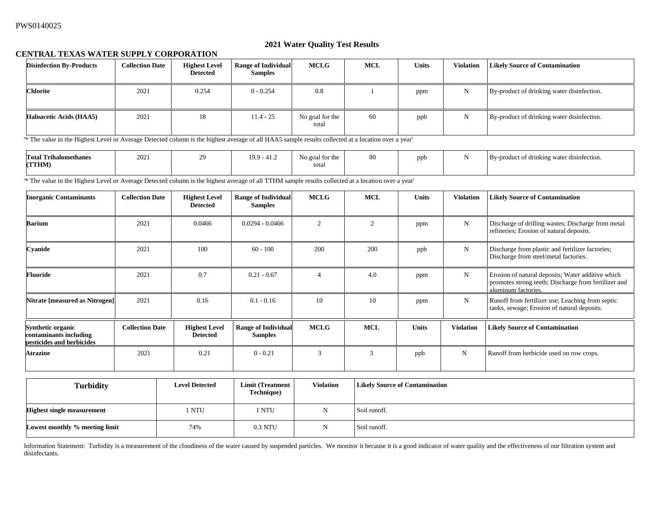#### **2021 Water Quality Test Results**

## **CENTRAL TEXAS WATER SUPPLY CORPORATION**

| <b>Disinfection By-Products</b> | <b>Collection Date</b> | <b>Highest Level</b><br><b>Detected</b> | <b>Range of Individual</b><br><b>Samples</b> | <b>MCLG</b>              | <b>MCL</b> | <b>Units</b> | <b>Violation</b> | <b>Likely Source of Contamination</b>      |
|---------------------------------|------------------------|-----------------------------------------|----------------------------------------------|--------------------------|------------|--------------|------------------|--------------------------------------------|
| <b>Chlorite</b>                 | 2021                   | 0.254                                   | $0 - 0.254$                                  | 0.8                      |            | ppm          | N                | By-product of drinking water disinfection. |
| <b>Haloacetic Acids (HAA5)</b>  | 2021                   | 18                                      | $11.4 - 25$                                  | No goal for the<br>total | 60         | ppb          | N                | By-product of drinking water disinfection. |

'\* The value in the Highest Level or Average Detected column is the highest average of all HAA5 sample results collected at a location over a year'

| <b>Total Trihalomethanes</b> | 2021 | $20^{\circ}$ | 19.9 - 41.2 | No goal for the | 80 | nnh | By-product of drinking water disinfection. |
|------------------------------|------|--------------|-------------|-----------------|----|-----|--------------------------------------------|
| (TTHM)                       |      |              |             | total           |    |     |                                            |
|                              |      |              |             |                 |    |     |                                            |

'\* The value in the Highest Level or Average Detected column is the highest average of all TTHM sample results collected at a location over a year'

| <b>Inorganic Contaminants</b>                                                   | <b>Collection Date</b> | <b>Highest Level</b><br><b>Detected</b> | <b>Range of Individual</b><br><b>Samples</b> | <b>MCLG</b>    | <b>MCL</b>     | <b>Units</b> | <b>Violation</b> | <b>Likely Source of Contamination</b>                                                                                            |
|---------------------------------------------------------------------------------|------------------------|-----------------------------------------|----------------------------------------------|----------------|----------------|--------------|------------------|----------------------------------------------------------------------------------------------------------------------------------|
| <b>Barium</b>                                                                   | 2021                   | 0.0466                                  | $0.0294 - 0.0466$                            | 2              | $\overline{2}$ | ppm          | N                | Discharge of drilling wastes; Discharge from metal<br>refineries; Erosion of natural deposits.                                   |
| Cyanide                                                                         | 2021                   | 100                                     | $60 - 100$                                   | 200            | 200            | ppb          | N                | Discharge from plastic and fertilizer factories;<br>Discharge from steel/metal factories.                                        |
| Fluoride                                                                        | 2021                   | 0.7                                     | $0.21 - 0.67$                                | $\overline{4}$ | 4.0            | ppm          | $\mathbf N$      | Erosion of natural deposits; Water additive which<br>promotes strong teeth; Discharge from fertilizer and<br>aluminum factories. |
| Nitrate [measured as Nitrogen]                                                  | 2021                   | 0.16                                    | $0.1 - 0.16$                                 | 10             | 10             | ppm          | N                | Runoff from fertilizer use; Leaching from septic<br>tanks, sewage; Erosion of natural deposits.                                  |
| <b>Synthetic organic</b><br>contaminants including<br>pesticides and herbicides | <b>Collection Date</b> | <b>Highest Level</b><br><b>Detected</b> | <b>Range of Individual</b><br><b>Samples</b> | <b>MCLG</b>    | <b>MCL</b>     | <b>Units</b> | <b>Violation</b> | <b>Likely Source of Contamination</b>                                                                                            |
| <b>Atrazine</b>                                                                 | 2021                   | 0.21                                    | $0 - 0.21$                                   | $\mathcal{R}$  | 3              | ppb          | N                | Runoff from herbicide used on row crops.                                                                                         |

| <b>Turbidity</b>                  | <b>Level Detected</b> | Limit (Treatment<br>Technique) | <b>Violation</b> | <b>Likely Source of Contamination</b> |
|-----------------------------------|-----------------------|--------------------------------|------------------|---------------------------------------|
| <b>Highest single measurement</b> | 1 NTU                 | NTU                            |                  | Soil runoff.                          |
| Lowest monthly % meeting limit    | 74%                   | 0.3 NTU                        |                  | Soil runoff.                          |

Information Statement: Turbidity is a measurement of the cloudiness of the water caused by suspended particles. We monitor it because it is a good indicator of water quality and the effectiveness of our filtration system a disinfectants.